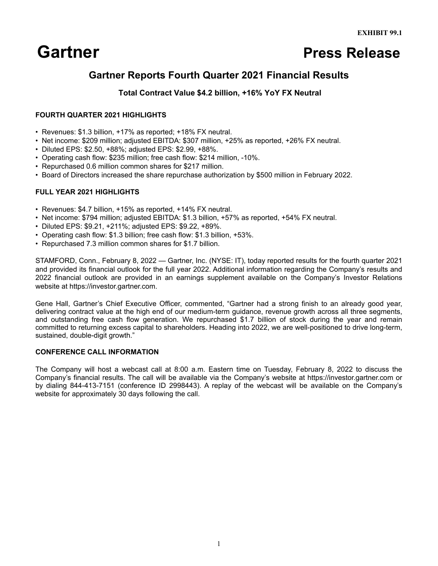# **Gartner Press Release**

## **Gartner Reports Fourth Quarter 2021 Financial Results**

### **Total Contract Value \$4.2 billion, +16% YoY FX Neutral**

#### **FOURTH QUARTER 2021 HIGHLIGHTS**

- Revenues: \$1.3 billion, +17% as reported; +18% FX neutral.
- Net income: \$209 million; adjusted EBITDA: \$307 million, +25% as reported, +26% FX neutral.
- Diluted EPS: \$2.50, +88%; adjusted EPS: \$2.99, +88%.
- Operating cash flow: \$235 million; free cash flow: \$214 million, -10%.
- Repurchased 0.6 million common shares for \$217 million.
- Board of Directors increased the share repurchase authorization by \$500 million in February 2022.

#### **FULL YEAR 2021 HIGHLIGHTS**

- Revenues: \$4.7 billion, +15% as reported, +14% FX neutral.
- Net income: \$794 million; adjusted EBITDA: \$1.3 billion, +57% as reported, +54% FX neutral.
- Diluted EPS: \$9.21, +211%; adjusted EPS: \$9.22, +89%.
- Operating cash flow: \$1.3 billion; free cash flow: \$1.3 billion, +53%.
- Repurchased 7.3 million common shares for \$1.7 billion.

STAMFORD, Conn., February 8, 2022 — Gartner, Inc. (NYSE: IT), today reported results for the fourth quarter 2021 and provided its financial outlook for the full year 2022. Additional information regarding the Company's results and 2022 financial outlook are provided in an earnings supplement available on the Company's Investor Relations website at https://investor.gartner.com.

Gene Hall, Gartner's Chief Executive Officer, commented, "Gartner had a strong finish to an already good year, delivering contract value at the high end of our medium-term guidance, revenue growth across all three segments, and outstanding free cash flow generation. We repurchased \$1.7 billion of stock during the year and remain committed to returning excess capital to shareholders. Heading into 2022, we are well-positioned to drive long-term, sustained, double-digit growth."

#### **CONFERENCE CALL INFORMATION**

The Company will host a webcast call at 8:00 a.m. Eastern time on Tuesday, February 8, 2022 to discuss the Company's financial results. The call will be available via the Company's website at https://investor.gartner.com or by dialing 844-413-7151 (conference ID 2998443). A replay of the webcast will be available on the Company's website for approximately 30 days following the call.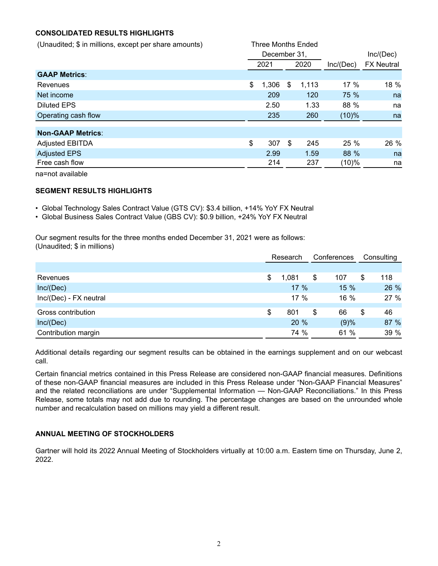#### **CONSOLIDATED RESULTS HIGHLIGHTS**

| (Unaudited; \$ in millions, except per share amounts) | <b>Three Months Ended</b> |     |       |           |                   |
|-------------------------------------------------------|---------------------------|-----|-------|-----------|-------------------|
|                                                       | December 31,              |     |       |           | Inc/(Dec)         |
|                                                       | 2020<br>2021              |     |       | Inc/(Dec) | <b>FX Neutral</b> |
| <b>GAAP Metrics:</b>                                  |                           |     |       |           |                   |
| Revenues                                              | \$<br>1,306               | \$  | 1,113 | $17\%$    | 18 %              |
| Net income                                            | 209                       |     | 120   | 75 %      | na                |
| <b>Diluted EPS</b>                                    | 2.50                      |     | 1.33  | 88 %      | na                |
| Operating cash flow                                   | 235                       | 260 |       | $(10)\%$  | na                |
| <b>Non-GAAP Metrics:</b>                              |                           |     |       |           |                   |
| <b>Adjusted EBITDA</b>                                | \$<br>307                 | \$  | 245   | 25 %      | 26 %              |
| <b>Adjusted EPS</b>                                   | 2.99                      |     | 1.59  | 88 %      | na                |
| Free cash flow                                        | 214                       |     | 237   | $(10)\%$  | na                |
|                                                       |                           |     |       |           |                   |

na=not available

#### **SEGMENT RESULTS HIGHLIGHTS**

- Global Technology Sales Contract Value (GTS CV): \$3.4 billion, +14% YoY FX Neutral
- Global Business Sales Contract Value (GBS CV): \$0.9 billion, +24% YoY FX Neutral

Our segment results for the three months ended December 31, 2021 were as follows: (Unaudited; \$ in millions)

|                        | Research    |    | Conferences |    | Consulting |  |
|------------------------|-------------|----|-------------|----|------------|--|
|                        |             |    |             |    |            |  |
| Revenues               | \$<br>1,081 | \$ | 107         | \$ | 118        |  |
| Inc/(Dec)              | 17%         |    | 15%         |    | 26 %       |  |
| Inc/(Dec) - FX neutral | $17\%$      |    | $16\%$      |    | 27 %       |  |
| Gross contribution     | \$<br>801   | \$ | 66          | \$ | 46         |  |
| Inc/(Dec)              | 20%         |    | (9)%        |    | 87 %       |  |
| Contribution margin    | 74 %        |    | 61 %        |    | 39 %       |  |

Additional details regarding our segment results can be obtained in the earnings supplement and on our webcast call.

Certain financial metrics contained in this Press Release are considered non-GAAP financial measures. Definitions of these non-GAAP financial measures are included in this Press Release under "Non-GAAP Financial Measures" and the related reconciliations are under "Supplemental Information — Non-GAAP Reconciliations." In this Press Release, some totals may not add due to rounding. The percentage changes are based on the unrounded whole number and recalculation based on millions may yield a different result.

#### **ANNUAL MEETING OF STOCKHOLDERS**

Gartner will hold its 2022 Annual Meeting of Stockholders virtually at 10:00 a.m. Eastern time on Thursday, June 2, 2022.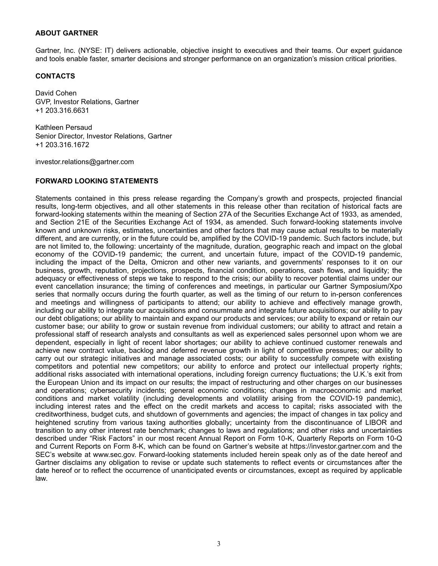#### **ABOUT GARTNER**

Gartner, Inc. (NYSE: IT) delivers actionable, objective insight to executives and their teams. Our expert guidance and tools enable faster, smarter decisions and stronger performance on an organization's mission critical priorities.

#### **CONTACTS**

David Cohen GVP, Investor Relations, Gartner +1 203.316.6631

Kathleen Persaud Senior Director, Investor Relations, Gartner +1 203.316.1672

investor.relations@gartner.com

#### **FORWARD LOOKING STATEMENTS**

Statements contained in this press release regarding the Company's growth and prospects, projected financial results, long-term objectives, and all other statements in this release other than recitation of historical facts are forward-looking statements within the meaning of Section 27A of the Securities Exchange Act of 1933, as amended, and Section 21E of the Securities Exchange Act of 1934, as amended. Such forward-looking statements involve known and unknown risks, estimates, uncertainties and other factors that may cause actual results to be materially different, and are currently, or in the future could be, amplified by the COVID-19 pandemic. Such factors include, but are not limited to, the following: uncertainty of the magnitude, duration, geographic reach and impact on the global economy of the COVID-19 pandemic; the current, and uncertain future, impact of the COVID-19 pandemic, including the impact of the Delta, Omicron and other new variants, and governments' responses to it on our business, growth, reputation, projections, prospects, financial condition, operations, cash flows, and liquidity; the adequacy or effectiveness of steps we take to respond to the crisis; our ability to recover potential claims under our event cancellation insurance; the timing of conferences and meetings, in particular our Gartner Symposium/Xpo series that normally occurs during the fourth quarter, as well as the timing of our return to in-person conferences and meetings and willingness of participants to attend; our ability to achieve and effectively manage growth, including our ability to integrate our acquisitions and consummate and integrate future acquisitions; our ability to pay our debt obligations; our ability to maintain and expand our products and services; our ability to expand or retain our customer base; our ability to grow or sustain revenue from individual customers; our ability to attract and retain a professional staff of research analysts and consultants as well as experienced sales personnel upon whom we are dependent, especially in light of recent labor shortages; our ability to achieve continued customer renewals and achieve new contract value, backlog and deferred revenue growth in light of competitive pressures; our ability to carry out our strategic initiatives and manage associated costs; our ability to successfully compete with existing competitors and potential new competitors; our ability to enforce and protect our intellectual property rights; additional risks associated with international operations, including foreign currency fluctuations; the U.K.'s exit from the European Union and its impact on our results; the impact of restructuring and other charges on our businesses and operations; cybersecurity incidents; general economic conditions; changes in macroeconomic and market conditions and market volatility (including developments and volatility arising from the COVID-19 pandemic), including interest rates and the effect on the credit markets and access to capital; risks associated with the creditworthiness, budget cuts, and shutdown of governments and agencies; the impact of changes in tax policy and heightened scrutiny from various taxing authorities globally; uncertainty from the discontinuance of LIBOR and transition to any other interest rate benchmark; changes to laws and regulations; and other risks and uncertainties described under "Risk Factors" in our most recent Annual Report on Form 10-K, Quarterly Reports on Form 10-Q and Current Reports on Form 8-K, which can be found on Gartner's website at https://investor.gartner.com and the SEC's website at www.sec.gov. Forward-looking statements included herein speak only as of the date hereof and Gartner disclaims any obligation to revise or update such statements to reflect events or circumstances after the date hereof or to reflect the occurrence of unanticipated events or circumstances, except as required by applicable law.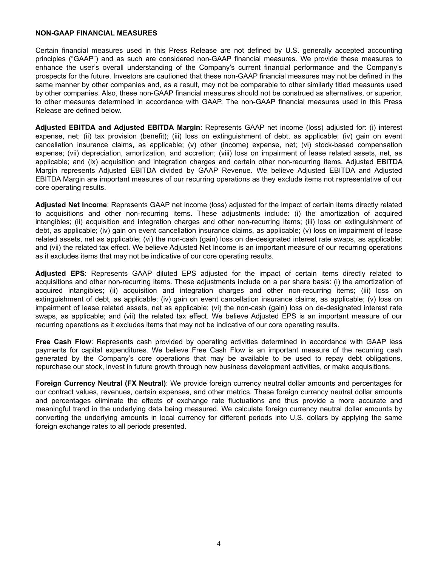#### **NON-GAAP FINANCIAL MEASURES**

Certain financial measures used in this Press Release are not defined by U.S. generally accepted accounting principles ("GAAP") and as such are considered non-GAAP financial measures. We provide these measures to enhance the user's overall understanding of the Company's current financial performance and the Company's prospects for the future. Investors are cautioned that these non-GAAP financial measures may not be defined in the same manner by other companies and, as a result, may not be comparable to other similarly titled measures used by other companies. Also, these non-GAAP financial measures should not be construed as alternatives, or superior, to other measures determined in accordance with GAAP. The non-GAAP financial measures used in this Press Release are defined below.

**Adjusted EBITDA and Adjusted EBITDA Margin**: Represents GAAP net income (loss) adjusted for: (i) interest expense, net; (ii) tax provision (benefit); (iii) loss on extinguishment of debt, as applicable; (iv) gain on event cancellation insurance claims, as applicable; (v) other (income) expense, net; (vi) stock-based compensation expense; (vii) depreciation, amortization, and accretion; (viii) loss on impairment of lease related assets, net, as applicable; and (ix) acquisition and integration charges and certain other non-recurring items. Adjusted EBITDA Margin represents Adjusted EBITDA divided by GAAP Revenue. We believe Adjusted EBITDA and Adjusted EBITDA Margin are important measures of our recurring operations as they exclude items not representative of our core operating results.

**Adjusted Net Income**: Represents GAAP net income (loss) adjusted for the impact of certain items directly related to acquisitions and other non-recurring items. These adjustments include: (i) the amortization of acquired intangibles; (ii) acquisition and integration charges and other non-recurring items; (iii) loss on extinguishment of debt, as applicable; (iv) gain on event cancellation insurance claims, as applicable; (v) loss on impairment of lease related assets, net as applicable; (vi) the non-cash (gain) loss on de-designated interest rate swaps, as applicable; and (vii) the related tax effect. We believe Adjusted Net Income is an important measure of our recurring operations as it excludes items that may not be indicative of our core operating results.

**Adjusted EPS**: Represents GAAP diluted EPS adjusted for the impact of certain items directly related to acquisitions and other non-recurring items. These adjustments include on a per share basis: (i) the amortization of acquired intangibles; (ii) acquisition and integration charges and other non-recurring items; (iii) loss on extinguishment of debt, as applicable; (iv) gain on event cancellation insurance claims, as applicable; (v) loss on impairment of lease related assets, net as applicable; (vi) the non-cash (gain) loss on de-designated interest rate swaps, as applicable; and (vii) the related tax effect. We believe Adjusted EPS is an important measure of our recurring operations as it excludes items that may not be indicative of our core operating results.

**Free Cash Flow**: Represents cash provided by operating activities determined in accordance with GAAP less payments for capital expenditures. We believe Free Cash Flow is an important measure of the recurring cash generated by the Company's core operations that may be available to be used to repay debt obligations, repurchase our stock, invest in future growth through new business development activities, or make acquisitions.

**Foreign Currency Neutral (FX Neutral)**: We provide foreign currency neutral dollar amounts and percentages for our contract values, revenues, certain expenses, and other metrics. These foreign currency neutral dollar amounts and percentages eliminate the effects of exchange rate fluctuations and thus provide a more accurate and meaningful trend in the underlying data being measured. We calculate foreign currency neutral dollar amounts by converting the underlying amounts in local currency for different periods into U.S. dollars by applying the same foreign exchange rates to all periods presented.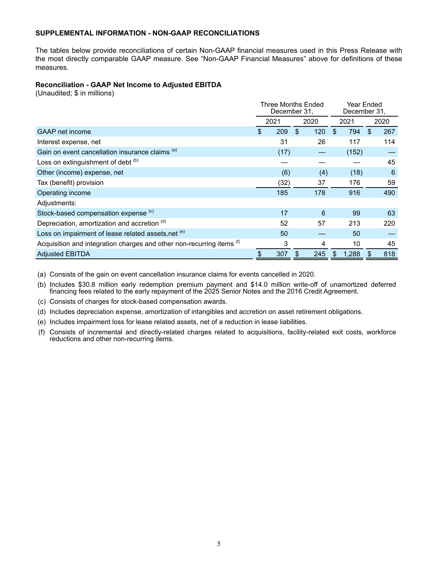#### **SUPPLEMENTAL INFORMATION - NON-GAAP RECONCILIATIONS**

The tables below provide reconciliations of certain Non-GAAP financial measures used in this Press Release with the most directly comparable GAAP measure. See "Non-GAAP Financial Measures" above for definitions of these measures.

#### **Reconciliation - GAAP Net Income to Adjusted EBITDA**

(Unaudited; \$ in millions)

|                                                                       | Three Months Ended<br>December 31, |    |      |     | Year Ended<br>December 31, |    |      |
|-----------------------------------------------------------------------|------------------------------------|----|------|-----|----------------------------|----|------|
|                                                                       | 2021                               |    | 2020 |     | 2021                       |    | 2020 |
| GAAP net income                                                       | \$<br>209                          | \$ | 120  | \$. | 794                        | \$ | 267  |
| Interest expense, net                                                 | 31                                 |    | 26   |     | 117                        |    | 114  |
| Gain on event cancellation insurance claims (a)                       | (17)                               |    |      |     | (152)                      |    |      |
| Loss on extinguishment of debt (b)                                    |                                    |    |      |     |                            |    | 45   |
| Other (income) expense, net                                           | (6)                                |    | (4)  |     | (18)                       |    | 6    |
| Tax (benefit) provision                                               | (32)                               |    | 37   |     | 176                        |    | 59   |
| Operating income                                                      | 185                                |    | 178  |     | 916                        |    | 490  |
| Adjustments:                                                          |                                    |    |      |     |                            |    |      |
| Stock-based compensation expense <sup>(c)</sup>                       | 17                                 |    | 6    |     | 99                         |    | 63   |
| Depreciation, amortization and accretion (d)                          | 52                                 |    | 57   |     | 213                        |    | 220  |
| Loss on impairment of lease related assets, net <sup>(e)</sup>        | 50                                 |    |      |     | 50                         |    |      |
| Acquisition and integration charges and other non-recurring items (f) | 3                                  |    | 4    |     | 10                         |    | 45   |
| <b>Adjusted EBITDA</b>                                                | \$<br>307                          | \$ | 245  | \$  | 1,288                      |    | 818  |

(a) Consists of the gain on event cancellation insurance claims for events cancelled in 2020.

(b) Includes \$30.8 million early redemption premium payment and \$14.0 million write-off of unamortized deferred financing fees related to the early repayment of the 2025 Senior Notes and the 2016 Credit Agreement.

(c) Consists of charges for stock-based compensation awards.

(d) Includes depreciation expense, amortization of intangibles and accretion on asset retirement obligations.

(e) Includes impairment loss for lease related assets, net of a reduction in lease liabilities.

(f) Consists of incremental and directly-related charges related to acquisitions, facility-related exit costs, workforce reductions and other non-recurring items.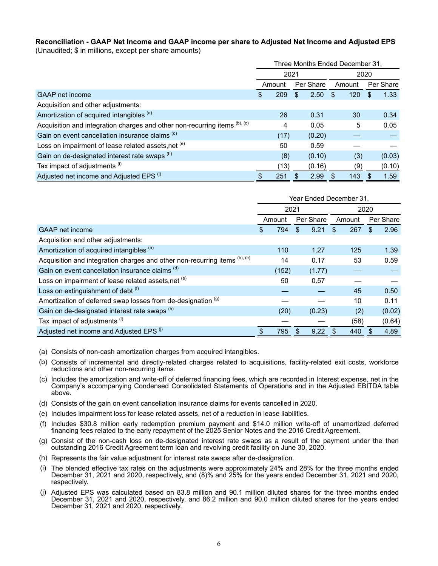# **Reconciliation - GAAP Net Income and GAAP income per share to Adjusted Net Income and Adjusted EPS**

(Unaudited; \$ in millions, except per share amounts)

|                                                                            | Three Months Ended December 31, |        |     |           |        |     |    |           |  |
|----------------------------------------------------------------------------|---------------------------------|--------|-----|-----------|--------|-----|----|-----------|--|
|                                                                            | 2021                            |        |     |           |        |     |    |           |  |
|                                                                            |                                 | Amount |     | Per Share | Amount |     |    | Per Share |  |
| GAAP net income                                                            | \$                              | 209    | \$. | 2.50      | -S     | 120 | -S | 1.33      |  |
| Acquisition and other adjustments:                                         |                                 |        |     |           |        |     |    |           |  |
| Amortization of acquired intangibles (a)                                   |                                 | 26     |     | 0.31      |        | 30  |    | 0.34      |  |
| Acquisition and integration charges and other non-recurring items (b), (c) |                                 | 4      |     | 0.05      |        | 5   |    | 0.05      |  |
| Gain on event cancellation insurance claims (d)                            |                                 | (17)   |     | (0.20)    |        |     |    |           |  |
| Loss on impairment of lease related assets, net (e)                        |                                 | 50     |     | 0.59      |        |     |    |           |  |
| Gain on de-designated interest rate swaps (h)                              |                                 | (8)    |     | (0.10)    |        | (3) |    | (0.03)    |  |
| Tax impact of adjustments (i)                                              |                                 | (13)   |     | (0.16)    |        | (9) |    | (0.10)    |  |
| Adjusted net income and Adjusted EPS <sup>(i)</sup>                        | S                               | 251    |     | 2.99      |        | 143 |    | 1.59      |  |

|                                                                            | Year Ended December 31, |        |     |           |            |     |           |  |  |  |
|----------------------------------------------------------------------------|-------------------------|--------|-----|-----------|------------|-----|-----------|--|--|--|
|                                                                            | 2021                    |        |     |           | 2020       |     |           |  |  |  |
|                                                                            |                         | Amount |     | Per Share | Amount     |     | Per Share |  |  |  |
| GAAP net income                                                            | \$                      | 794    | \$  | 9.21      | \$.<br>267 | \$. | 2.96      |  |  |  |
| Acquisition and other adjustments:                                         |                         |        |     |           |            |     |           |  |  |  |
| Amortization of acquired intangibles (a)                                   |                         | 110    |     | 1.27      | 125        |     | 1.39      |  |  |  |
| Acquisition and integration charges and other non-recurring items (b), (c) |                         | 14     |     | 0.17      | 53         |     | 0.59      |  |  |  |
| Gain on event cancellation insurance claims (d)                            |                         | (152)  |     | (1.77)    |            |     |           |  |  |  |
| Loss on impairment of lease related assets, net <sup>(e)</sup>             |                         | 50     |     | 0.57      |            |     |           |  |  |  |
| Loss on extinguishment of debt (f)                                         |                         |        |     |           | 45         |     | 0.50      |  |  |  |
| Amortization of deferred swap losses from de-designation (g)               |                         |        |     |           | 10         |     | 0.11      |  |  |  |
| Gain on de-designated interest rate swaps (h)                              |                         | (20)   |     | (0.23)    | (2)        |     | (0.02)    |  |  |  |
| Tax impact of adjustments (i)                                              |                         |        |     |           | (58)       |     | (0.64)    |  |  |  |
| Adjusted net income and Adjusted EPS (i)                                   |                         | 795    | -\$ | 9.22      | 440        | \$. | 4.89      |  |  |  |

- (a) Consists of non-cash amortization charges from acquired intangibles.
- (b) Consists of incremental and directly-related charges related to acquisitions, facility-related exit costs, workforce reductions and other non-recurring items.
- (c) Includes the amortization and write-off of deferred financing fees, which are recorded in Interest expense, net in the Company's accompanying Condensed Consolidated Statements of Operations and in the Adjusted EBITDA table above.
- (d) Consists of the gain on event cancellation insurance claims for events cancelled in 2020.
- (e) Includes impairment loss for lease related assets, net of a reduction in lease liabilities.
- (f) Includes \$30.8 million early redemption premium payment and \$14.0 million write-off of unamortized deferred financing fees related to the early repayment of the 2025 Senior Notes and the 2016 Credit Agreement.
- (g) Consist of the non-cash loss on de-designated interest rate swaps as a result of the payment under the then outstanding 2016 Credit Agreement term loan and revolving credit facility on June 30, 2020.
- (h) Represents the fair value adjustment for interest rate swaps after de-designation.
- (i) The blended effective tax rates on the adjustments were approximately 24% and 28% for the three months ended December 31, 2021 and 2020, respectively, and (8)% and 25% for the years ended December 31, 2021 and 2020, respectively.
- (j) Adjusted EPS was calculated based on 83.8 million and 90.1 million diluted shares for the three months ended December 31, 2021 and 2020, respectively, and 86.2 million and 90.0 million diluted shares for the years ended December 31, 2021 and 2020, respectively.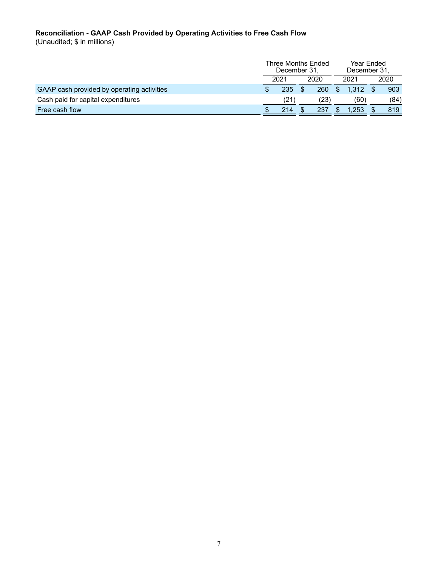#### **Reconciliation - GAAP Cash Provided by Operating Activities to Free Cash Flow**

(Unaudited; \$ in millions)

|                                            | Three Months Ended<br>December 31. |  |      |  | Year Ended<br>December 31, |      |      |
|--------------------------------------------|------------------------------------|--|------|--|----------------------------|------|------|
|                                            | 2021                               |  | 2020 |  | 2021                       | 2020 |      |
| GAAP cash provided by operating activities | 235                                |  | 260  |  | 1.312                      |      | 903  |
| Cash paid for capital expenditures         | $^{\prime}21$                      |  | (23) |  | (60)                       |      | (84) |
| Free cash flow                             | 214                                |  | 237  |  | .253                       |      | 819  |